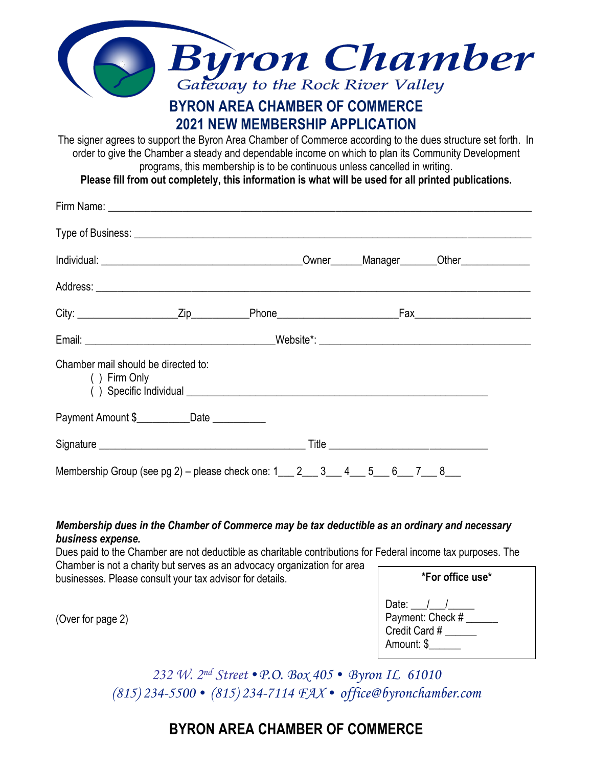

## **2021 NEW MEMBERSHIP APPLICATION**

The signer agrees to support the Byron Area Chamber of Commerce according to the dues structure set forth. In order to give the Chamber a steady and dependable income on which to plan its Community Development programs, this membership is to be continuous unless cancelled in writing.

**Please fill from out completely, this information is what will be used for all printed publications.**

| Chamber mail should be directed to:<br>() Firm Only                                         |  |  |  |
|---------------------------------------------------------------------------------------------|--|--|--|
| Payment Amount \$____________Date ___________                                               |  |  |  |
|                                                                                             |  |  |  |
| Membership Group (see pg 2) – please check one: $1 \_ 2 \_ 3 \_ 4 \_ 5 \_ 6 \_ 7 \_ 8 \_ 8$ |  |  |  |

*Membership dues in the Chamber of Commerce may be tax deductible as an ordinary and necessary business expense.*

Dues paid to the Chamber are not deductible as charitable contributions for Federal income tax purposes. The Chamber is not a charity but serves as an advocacy organization for area businesses. Please consult your tax advisor for details.

(Over for page 2)

| *For office use*                                                 |  |  |  |  |  |
|------------------------------------------------------------------|--|--|--|--|--|
| Date: $/$ /<br>Payment: Check #<br>Credit Card #<br>Amount: \$__ |  |  |  |  |  |

*232 W. 2nd Street* •*P.O. Box 405* • *Byron IL 61010 (815) 234-5500* • *(815) 234-7114 FAX* • *office@byronchamber.com*

## **BYRON AREA CHAMBER OF COMMERCE**